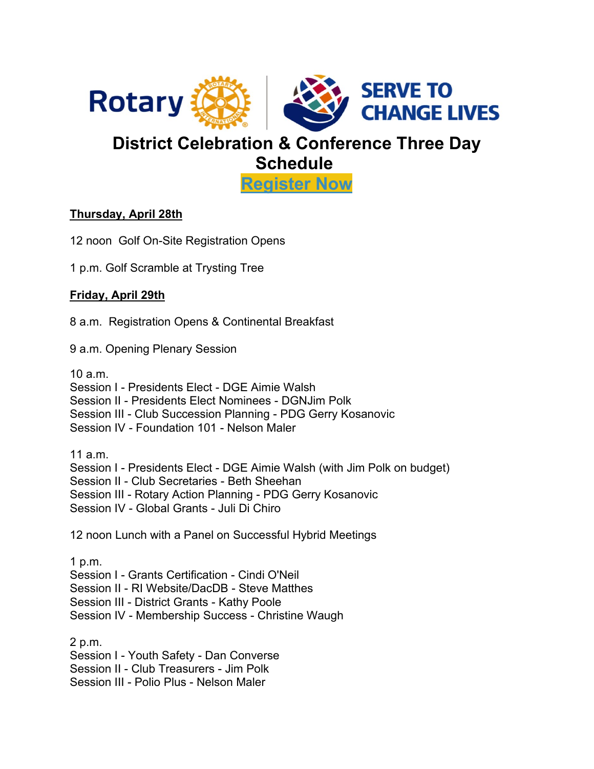

## **District Celebration & Conference Three Day Schedule**

**[Register Now](https://registrations.dacdb.com/Register/index.cfm?EventID=77580084&NoCaptcha)**

## **Thursday, April 28th**

12 noon Golf On-Site Registration Opens

1 p.m. Golf Scramble at Trysting Tree

## **Friday, April 29th**

8 a.m. Registration Opens & Continental Breakfast

9 a.m. Opening Plenary Session

10 a.m. Session I - Presidents Elect - DGE Aimie Walsh Session II - Presidents Elect Nominees - DGNJim Polk Session III - Club Succession Planning - PDG Gerry Kosanovic Session IV - Foundation 101 - Nelson Maler 11 a.m. Session I - Presidents Elect - DGE Aimie Walsh (with Jim Polk on budget) Session II - Club Secretaries - Beth Sheehan Session III - Rotary Action Planning - PDG Gerry Kosanovic Session IV - Global Grants - Juli Di Chiro 12 noon Lunch with a Panel on Successful Hybrid Meetings 1 p.m. Session I - Grants Certification - Cindi O'Neil Session II - RI Website/DacDB - Steve Matthes Session III - District Grants - Kathy Poole Session IV - Membership Success - Christine Waugh

2 p.m. Session I - Youth Safety - Dan Converse Session II - Club Treasurers - Jim Polk

Session III - Polio Plus - Nelson Maler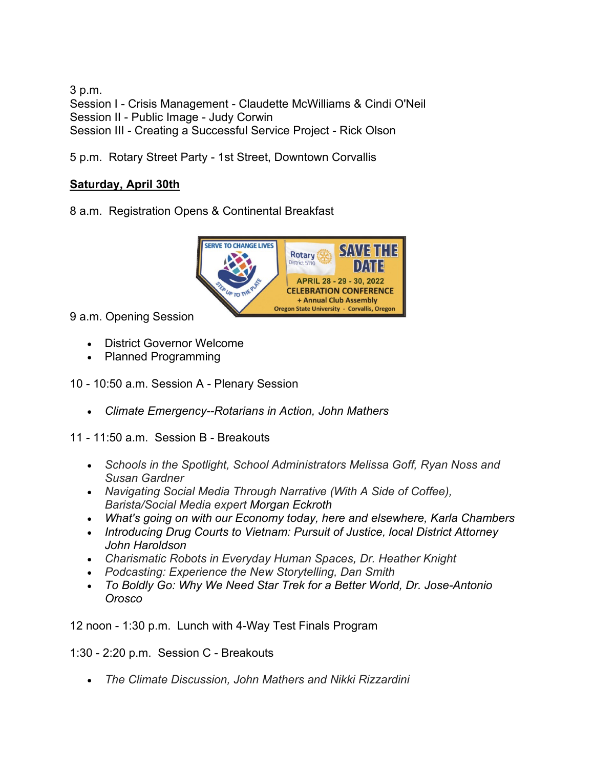3 p.m. Session I - Crisis Management - Claudette McWilliams & Cindi O'Neil Session II - Public Image - Judy Corwin Session III - Creating a Successful Service Project - Rick Olson

5 p.m. Rotary Street Party - 1st Street, Downtown Corvallis

## **Saturday, April 30th**

8 a.m. Registration Opens & Continental Breakfast



9 a.m. Opening Session

- District Governor Welcome
- Planned Programming

10 - 10:50 a.m. Session A - Plenary Session

• *Climate Emergency--Rotarians in Action, John Mathers*

11 - 11:50 a.m. Session B - Breakouts

- *Schools in the Spotlight, School Administrators Melissa Goff, Ryan Noss and Susan Gardner*
- *Navigating Social Media Through Narrative (With A Side of Coffee), Barista/Social Media expert Morgan Eckroth*
- *What's going on with our Economy today, here and elsewhere, Karla Chambers*
- *Introducing Drug Courts to Vietnam: Pursuit of Justice, local District Attorney John Haroldson*
- *Charismatic Robots in Everyday Human Spaces, Dr. Heather Knight*
- *Podcasting: Experience the New Storytelling, Dan Smith*
- *To Boldly Go: Why We Need Star Trek for a Better World, Dr. Jose-Antonio Orosco*

12 noon - 1:30 p.m. Lunch with 4-Way Test Finals Program

1:30 - 2:20 p.m. Session C - Breakouts

• *The Climate Discussion, John Mathers and Nikki Rizzardini*